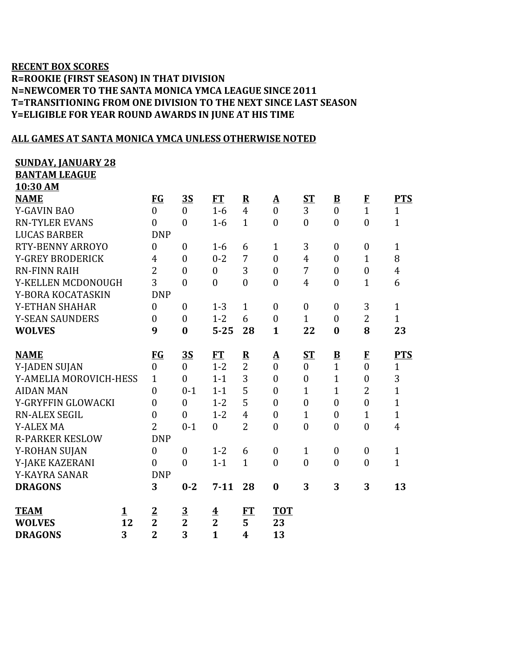## **RECENT BOX SCORES R=ROOKIE (FIRST SEASON) IN THAT DIVISION N=NEWCOMER TO THE SANTA MONICA YMCA LEAGUE SINCE 2011 T=TRANSITIONING FROM ONE DIVISION TO THE NEXT SINCE LAST SEASON Y=ELIGIBLE FOR YEAR ROUND AWARDS IN JUNE AT HIS TIME**

## **ALL GAMES AT SANTA MONICA YMCA UNLESS OTHERWISE NOTED**

| <b>SUNDAY, JANUARY 28</b> |    |                         |                  |                         |                         |                   |                  |                  |                  |                         |
|---------------------------|----|-------------------------|------------------|-------------------------|-------------------------|-------------------|------------------|------------------|------------------|-------------------------|
| <b>BANTAM LEAGUE</b>      |    |                         |                  |                         |                         |                   |                  |                  |                  |                         |
| 10:30 AM                  |    |                         |                  |                         |                         |                   |                  |                  |                  |                         |
| <b>NAME</b>               |    | FG                      | <b>3S</b>        | <b>FT</b>               | ${\bf R}$               | $\mathbf{\Delta}$ | <b>ST</b>        | $\mathbf{B}$     | $\mathbf{F}$     | <b>PTS</b>              |
| <b>Y-GAVIN BAO</b>        |    | $\overline{0}$          | $\overline{0}$   | $1-6$                   | $\overline{4}$          | $\overline{0}$    | 3                | $\mathbf{0}$     | $\overline{1}$   | $\mathbf{1}$            |
| <b>RN-TYLER EVANS</b>     |    | $\overline{0}$          | $\mathbf{0}$     | $1-6$                   | $\mathbf{1}$            | $\theta$          | $\overline{0}$   | $\overline{0}$   | $\overline{0}$   | $\mathbf{1}$            |
| <b>LUCAS BARBER</b>       |    | <b>DNP</b>              |                  |                         |                         |                   |                  |                  |                  |                         |
| <b>RTY-BENNY ARROYO</b>   |    | $\boldsymbol{0}$        | $\boldsymbol{0}$ | $1 - 6$                 | 6                       | $\mathbf{1}$      | 3                | $\boldsymbol{0}$ | $\boldsymbol{0}$ | $\mathbf{1}$            |
| <b>Y-GREY BRODERICK</b>   |    | $\overline{4}$          | $\mathbf{0}$     | $0 - 2$                 | $\overline{7}$          | $\mathbf{0}$      | $\overline{4}$   | $\boldsymbol{0}$ | $\mathbf{1}$     | 8                       |
| <b>RN-FINN RAIH</b>       |    | $\overline{2}$          | $\boldsymbol{0}$ | $\boldsymbol{0}$        | 3                       | $\overline{0}$    | 7                | $\theta$         | $\boldsymbol{0}$ | $\overline{4}$          |
| Y-KELLEN MCDONOUGH        |    | 3                       | $\boldsymbol{0}$ | $\overline{0}$          | $\boldsymbol{0}$        | $\overline{0}$    | $\overline{4}$   | $\boldsymbol{0}$ | $\overline{1}$   | 6                       |
| Y-BORA KOCATASKIN         |    | <b>DNP</b>              |                  |                         |                         |                   |                  |                  |                  |                         |
| Y-ETHAN SHAHAR            |    | $\boldsymbol{0}$        | $\boldsymbol{0}$ | $1 - 3$                 | $\mathbf{1}$            | $\boldsymbol{0}$  | $\boldsymbol{0}$ | $\boldsymbol{0}$ | 3                | $\mathbf{1}$            |
| <b>Y-SEAN SAUNDERS</b>    |    | $\boldsymbol{0}$        | $\boldsymbol{0}$ | $1 - 2$                 | 6                       | $\overline{0}$    | $\mathbf{1}$     | $\boldsymbol{0}$ | $\overline{2}$   | $\mathbf{1}$            |
| <b>WOLVES</b>             |    | 9                       | $\bf{0}$         | $5 - 25$                | 28                      | $\mathbf{1}$      | 22               | $\bf{0}$         | 8                | 23                      |
|                           |    |                         |                  |                         |                         |                   |                  |                  |                  |                         |
| <b>NAME</b>               |    | FG                      | <b>3S</b>        | <b>FT</b>               | $\overline{\mathbf{R}}$ | <u>A</u>          | $S_{\rm T}$      | $\mathbf{B}$     | $\mathbf{F}$     | <b>PTS</b>              |
| Y-JADEN SUJAN             |    | $\boldsymbol{0}$        | $\overline{0}$   | $1 - 2$                 | $\overline{2}$          | $\overline{0}$    | $\boldsymbol{0}$ | $\mathbf{1}$     | $\boldsymbol{0}$ | $\mathbf{1}$            |
| Y-AMELIA MOROVICH-HESS    |    | $\mathbf{1}$            | $\mathbf{0}$     | $1 - 1$                 | 3                       | $\overline{0}$    | $\overline{0}$   | $\mathbf{1}$     | $\boldsymbol{0}$ | 3                       |
| <b>AIDAN MAN</b>          |    | $\boldsymbol{0}$        | $0 - 1$          | $1 - 1$                 | 5                       | $\mathbf{0}$      | $\mathbf{1}$     | $\mathbf{1}$     | $\overline{2}$   | $\overline{1}$          |
| Y-GRYFFIN GLOWACKI        |    | $\boldsymbol{0}$        | $\mathbf{0}$     | $1 - 2$                 | 5                       | $\overline{0}$    | $\boldsymbol{0}$ | $\mathbf{0}$     | $\boldsymbol{0}$ | $\overline{1}$          |
| <b>RN-ALEX SEGIL</b>      |    | $\boldsymbol{0}$        | $\boldsymbol{0}$ | $1 - 2$                 | $\overline{4}$          | $\overline{0}$    | $\mathbf{1}$     | $\boldsymbol{0}$ | $\mathbf{1}$     | $\mathbf{1}$            |
| <b>Y-ALEX MA</b>          |    | $\overline{2}$          | $0 - 1$          | $\overline{0}$          | $\overline{2}$          | $\overline{0}$    | $\overline{0}$   | $\overline{0}$   | $\overline{0}$   | $\overline{\mathbf{4}}$ |
| <b>R-PARKER KESLOW</b>    |    | <b>DNP</b>              |                  |                         |                         |                   |                  |                  |                  |                         |
| Y-ROHAN SUJAN             |    | $\overline{0}$          | $\mathbf{0}$     | $1 - 2$                 | 6                       | $\overline{0}$    | $\mathbf{1}$     | $\boldsymbol{0}$ | $\boldsymbol{0}$ | $\mathbf{1}$            |
| Y-JAKE KAZERANI           |    | $\boldsymbol{0}$        | $\boldsymbol{0}$ | $1 - 1$                 | $\mathbf{1}$            | $\boldsymbol{0}$  | $\boldsymbol{0}$ | $\boldsymbol{0}$ | $\boldsymbol{0}$ | $\mathbf{1}$            |
| Y-KAYRA SANAR             |    | <b>DNP</b>              |                  |                         |                         |                   |                  |                  |                  |                         |
| <b>DRAGONS</b>            |    | 3                       | $0 - 2$          | $7 - 11$                | 28                      | $\boldsymbol{0}$  | 3                | 3                | 3                | 13                      |
|                           |    |                         |                  |                         |                         |                   |                  |                  |                  |                         |
| <b>TEAM</b>               | 1  | $\overline{2}$          | $\frac{3}{2}$    | $\overline{\textbf{4}}$ | FT                      | <b>TOT</b>        |                  |                  |                  |                         |
| <b>WOLVES</b>             | 12 | $\overline{\mathbf{2}}$ |                  | $\overline{2}$          | 5                       | 23                |                  |                  |                  |                         |
| <b>DRAGONS</b>            | 3  | $\overline{2}$          | 3                | $\mathbf{1}$            | $\overline{4}$          | 13                |                  |                  |                  |                         |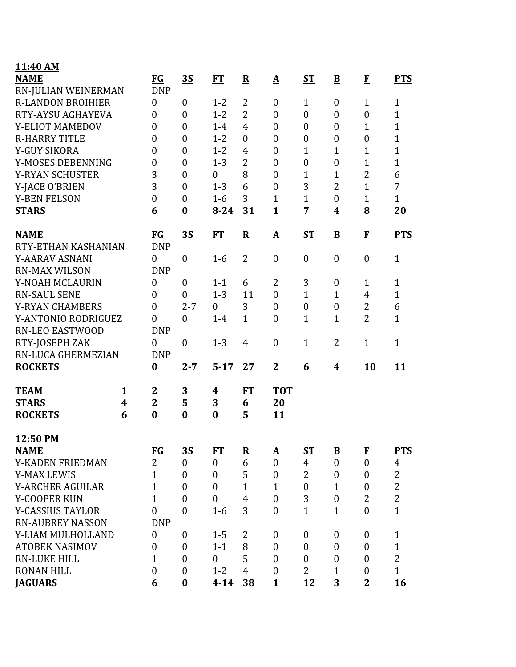| 11:40 AM                 |                         |                  |                         |                         |                  |                          |                  |                         |                  |                |
|--------------------------|-------------------------|------------------|-------------------------|-------------------------|------------------|--------------------------|------------------|-------------------------|------------------|----------------|
| <b>NAME</b>              |                         | <b>FG</b>        | <u>3S</u>               | FT                      | ${\bf R}$        | $\mathbf{\underline{A}}$ | <b>ST</b>        | ${\bf B}$               | $\bf{F}$         | <b>PTS</b>     |
| RN-JULIAN WEINERMAN      |                         | <b>DNP</b>       |                         |                         |                  |                          |                  |                         |                  |                |
| <b>R-LANDON BROIHIER</b> |                         | $\boldsymbol{0}$ | $\overline{0}$          | $1 - 2$                 | 2                | $\boldsymbol{0}$         | $\mathbf{1}$     | $\boldsymbol{0}$        | $\mathbf{1}$     | 1              |
| RTY-AYSU AGHAYEVA        |                         | $\boldsymbol{0}$ | $\boldsymbol{0}$        | $1 - 2$                 | $\overline{2}$   | $\boldsymbol{0}$         | $\boldsymbol{0}$ | $\boldsymbol{0}$        | $\boldsymbol{0}$ | $\mathbf{1}$   |
| Y-ELIOT MAMEDOV          |                         | $\overline{0}$   | $\boldsymbol{0}$        | $1-4$                   | $\overline{4}$   | $\boldsymbol{0}$         | $\boldsymbol{0}$ | $\boldsymbol{0}$        | $\mathbf{1}$     | $\mathbf{1}$   |
| <b>R-HARRY TITLE</b>     |                         | $\overline{0}$   | $\theta$                | $1 - 2$                 | $\boldsymbol{0}$ | $\boldsymbol{0}$         | $\boldsymbol{0}$ | $\boldsymbol{0}$        | $\boldsymbol{0}$ | $\mathbf{1}$   |
| Y-GUY SIKORA             |                         | $\boldsymbol{0}$ | $\overline{0}$          | $1 - 2$                 | $\overline{4}$   | $\overline{0}$           | $\mathbf{1}$     | $\mathbf{1}$            | $\mathbf{1}$     | $\overline{1}$ |
| Y-MOSES DEBENNING        |                         | $\boldsymbol{0}$ | $\boldsymbol{0}$        | $1 - 3$                 | $\overline{2}$   | $\boldsymbol{0}$         | $\boldsymbol{0}$ | $\boldsymbol{0}$        | $\mathbf{1}$     | $\mathbf{1}$   |
| <b>Y-RYAN SCHUSTER</b>   |                         | 3                | $\overline{0}$          | $\boldsymbol{0}$        | 8                | $\boldsymbol{0}$         | $\mathbf{1}$     | $\mathbf{1}$            | $\overline{2}$   | 6              |
| Y-JACE O'BRIEN           |                         | 3                | $\overline{0}$          | $1 - 3$                 | 6                | $\boldsymbol{0}$         | 3                | $\overline{2}$          | 1                | 7              |
| <b>Y-BEN FELSON</b>      |                         | $\boldsymbol{0}$ | $\boldsymbol{0}$        | $1-6$                   | 3                | $\mathbf{1}$             | $\mathbf{1}$     | $\boldsymbol{0}$        | $\mathbf{1}$     | $\mathbf{1}$   |
| <b>STARS</b>             |                         | 6                | $\bf{0}$                | $8 - 24$                | 31               | $\mathbf{1}$             | 7                | 4                       | 8                | 20             |
| <b>NAME</b>              |                         | $FG$             | <u>3S</u>               | FT                      | ${\bf R}$        | $\mathbf A$              | $S_{\rm T}$      | $\overline{\mathbf{B}}$ | $\bf{F}$         | <b>PTS</b>     |
| RTY-ETHAN KASHANIAN      |                         | <b>DNP</b>       |                         |                         |                  |                          |                  |                         |                  |                |
| Y-AARAV ASNANI           |                         | $\boldsymbol{0}$ | $\boldsymbol{0}$        | $1-6$                   | $\overline{2}$   | $\boldsymbol{0}$         | $\boldsymbol{0}$ | $\boldsymbol{0}$        | $\boldsymbol{0}$ | $\mathbf{1}$   |
| <b>RN-MAX WILSON</b>     |                         | <b>DNP</b>       |                         |                         |                  |                          |                  |                         |                  |                |
| Y-NOAH MCLAURIN          |                         | $\boldsymbol{0}$ | $\theta$                | $1 - 1$                 | 6                | 2                        | 3                | $\boldsymbol{0}$        | $\mathbf{1}$     | 1              |
| <b>RN-SAUL SENE</b>      |                         | $\boldsymbol{0}$ | $\boldsymbol{0}$        | $1 - 3$                 | 11               | $\boldsymbol{0}$         | $\mathbf{1}$     | $\mathbf{1}$            | $\overline{4}$   | $\mathbf{1}$   |
| <b>Y-RYAN CHAMBERS</b>   |                         | $\boldsymbol{0}$ | $2 - 7$                 | $\boldsymbol{0}$        | 3                | $\boldsymbol{0}$         | $\boldsymbol{0}$ | $\boldsymbol{0}$        | 2                | 6              |
| Y-ANTONIO RODRIGUEZ      |                         | $\overline{0}$   | $\boldsymbol{0}$        | $1-4$                   | $\mathbf{1}$     | $\overline{0}$           | $\mathbf{1}$     | $\mathbf{1}$            | $\overline{2}$   | $\mathbf{1}$   |
| <b>RN-LEO EASTWOOD</b>   |                         | <b>DNP</b>       |                         |                         |                  |                          |                  |                         |                  |                |
| RTY-JOSEPH ZAK           |                         | 0                | $\boldsymbol{0}$        | $1 - 3$                 | $\overline{4}$   | $\boldsymbol{0}$         | $\mathbf{1}$     | 2                       | $\mathbf{1}$     | $\mathbf{1}$   |
| RN-LUCA GHERMEZIAN       |                         | <b>DNP</b>       |                         |                         |                  |                          |                  |                         |                  |                |
| <b>ROCKETS</b>           |                         | $\bf{0}$         | $2 - 7$                 | $5 - 17$                | 27               | $\mathbf{2}$             | 6                | 4                       | 10               | 11             |
| <b>TEAM</b>              | <u>1</u>                | $\overline{2}$   | $\overline{\mathbf{3}}$ | $\overline{\mathbf{4}}$ | FT               | <b>TOT</b>               |                  |                         |                  |                |
| <b>STARS</b>             | $\overline{\mathbf{4}}$ | $\overline{2}$   | 5                       | 3                       | 6                | 20                       |                  |                         |                  |                |
| <b>ROCKETS</b>           | 6                       | $\bf{0}$         | $\boldsymbol{0}$        | $\bf{0}$                | 5                | 11                       |                  |                         |                  |                |
| 12:50 PM                 |                         |                  |                         |                         |                  |                          |                  |                         |                  |                |
| <b>NAME</b>              |                         | <b>FG</b>        | <u>3S</u>               | FT                      | ${\bf R}$        | $\mathbf A$              | <b>ST</b>        | $\overline{\mathbf{B}}$ | $\mathbf{F}$     | <b>PTS</b>     |
| Y-KADEN FRIEDMAN         |                         | $\overline{2}$   | $\boldsymbol{0}$        | $\mathbf{0}$            | 6                | $\mathbf{0}$             | $\overline{4}$   | $\boldsymbol{0}$        | $\mathbf{0}$     | $\overline{4}$ |
| <b>Y-MAX LEWIS</b>       |                         | $\mathbf{1}$     | $\boldsymbol{0}$        | $\mathbf{0}$            | 5                | $\boldsymbol{0}$         | 2                | $\boldsymbol{0}$        | $\boldsymbol{0}$ | $\overline{2}$ |
| <b>Y-ARCHER AGUILAR</b>  |                         | $\overline{1}$   | $\overline{0}$          | $\mathbf{0}$            | $\mathbf{1}$     | $\mathbf{1}$             | $\boldsymbol{0}$ | $\mathbf{1}$            | $\boldsymbol{0}$ | $\overline{2}$ |
| Y-COOPER KUN             |                         | $\mathbf{1}$     | $\overline{0}$          | $\boldsymbol{0}$        | $\overline{4}$   | $\boldsymbol{0}$         | 3                | $\boldsymbol{0}$        | $\overline{2}$   | $\overline{2}$ |
| <b>Y-CASSIUS TAYLOR</b>  |                         | $\overline{0}$   | $\overline{0}$          | $1-6$                   | 3                | $\mathbf{0}$             | $\mathbf{1}$     | $\mathbf{1}$            | $\mathbf{0}$     | $\mathbf{1}$   |
| <b>RN-AUBREY NASSON</b>  |                         | <b>DNP</b>       |                         |                         |                  |                          |                  |                         |                  |                |
| Y-LIAM MULHOLLAND        |                         | $\boldsymbol{0}$ | $\theta$                | $1 - 5$                 | $\overline{2}$   | $\mathbf{0}$             | $\boldsymbol{0}$ | $\boldsymbol{0}$        | $\mathbf{0}$     | $\mathbf{1}$   |
| <b>ATOBEK NASIMOV</b>    |                         | 0                | $\boldsymbol{0}$        | $1 - 1$                 | 8                | $\boldsymbol{0}$         | $\boldsymbol{0}$ | $\boldsymbol{0}$        | $\boldsymbol{0}$ | $\mathbf{1}$   |
| <b>RN-LUKE HILL</b>      |                         | 1                | $\boldsymbol{0}$        | $\mathbf{0}$            | 5                | $\boldsymbol{0}$         | $\overline{0}$   | $\boldsymbol{0}$        | $\boldsymbol{0}$ | $\overline{2}$ |
| <b>RONAN HILL</b>        |                         | $\boldsymbol{0}$ | $\theta$                | $1 - 2$                 | $\overline{4}$   | $\mathbf{0}$             | $\overline{2}$   | $\mathbf{1}$            | $\boldsymbol{0}$ | $\mathbf{1}$   |
| <b>JAGUARS</b>           |                         | 6                | $\boldsymbol{0}$        | $4 - 14$                | 38               | $\mathbf{1}$             | 12               | 3                       | $\overline{2}$   | 16             |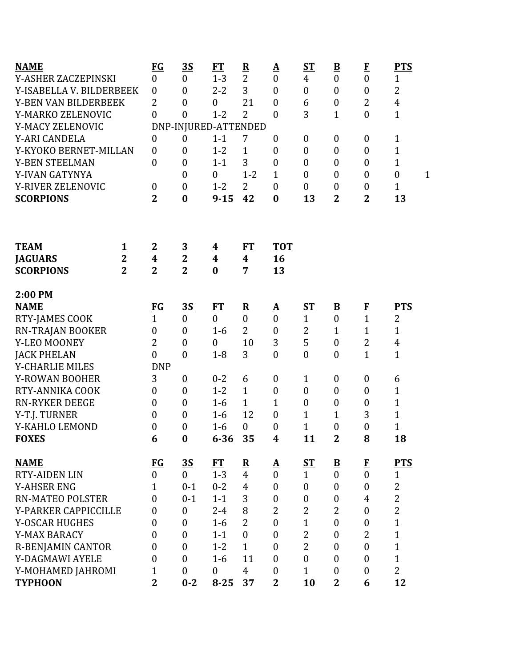| <b>NAME</b>              |                | $FG$             | <u>35</u>            | <b>FT</b>               | $\overline{\mathbf{R}}$ | <u>A</u>         | <u>ST</u>        | $\overline{\mathbf{B}}$  | $\bf{F}$         | <b>PTS</b>                       |
|--------------------------|----------------|------------------|----------------------|-------------------------|-------------------------|------------------|------------------|--------------------------|------------------|----------------------------------|
| Y-ASHER ZACZEPINSKI      |                | $\overline{0}$   | $\boldsymbol{0}$     | $1 - 3$                 | $\overline{2}$          | $\boldsymbol{0}$ | $\overline{4}$   | $\boldsymbol{0}$         | $\boldsymbol{0}$ | 1                                |
| Y-ISABELLA V. BILDERBEEK |                | $\boldsymbol{0}$ | $\boldsymbol{0}$     | $2 - 2$                 | 3                       | $\mathbf{0}$     | $\boldsymbol{0}$ | $\boldsymbol{0}$         | $\boldsymbol{0}$ | $\overline{2}$                   |
| Y-BEN VAN BILDERBEEK     |                | $\overline{2}$   | $\boldsymbol{0}$     | $\boldsymbol{0}$        | 21                      | $\boldsymbol{0}$ | 6                | $\boldsymbol{0}$         | 2                | $\overline{4}$                   |
| Y-MARKO ZELENOVIC        |                | $\overline{0}$   | $\overline{0}$       | $1 - 2$                 | 2                       | $\boldsymbol{0}$ | 3                | $\mathbf{1}$             | $\boldsymbol{0}$ | $\mathbf{1}$                     |
| Y-MACY ZELENOVIC         |                |                  | DNP-INJURED-ATTENDED |                         |                         |                  |                  |                          |                  |                                  |
| Y-ARI CANDELA            |                | $\boldsymbol{0}$ | $\boldsymbol{0}$     | $1 - 1$                 | 7                       | $\boldsymbol{0}$ | $\boldsymbol{0}$ | $\boldsymbol{0}$         | $\boldsymbol{0}$ | $\mathbf{1}$                     |
| Y-KYOKO BERNET-MILLAN    |                | $\boldsymbol{0}$ | $\boldsymbol{0}$     | $1 - 2$                 | $\mathbf{1}$            | $\boldsymbol{0}$ | $\boldsymbol{0}$ | $\boldsymbol{0}$         | $\boldsymbol{0}$ | $\mathbf{1}$                     |
| <b>Y-BEN STEELMAN</b>    |                | $\overline{0}$   | $\boldsymbol{0}$     | $1 - 1$                 | 3                       | $\boldsymbol{0}$ | $\boldsymbol{0}$ | $\boldsymbol{0}$         | $\boldsymbol{0}$ | 1                                |
| Y-IVAN GATYNYA           |                |                  | $\boldsymbol{0}$     | $\boldsymbol{0}$        | $1 - 2$                 | $\mathbf{1}$     | $\boldsymbol{0}$ | 0                        | $\boldsymbol{0}$ | $\boldsymbol{0}$<br>$\mathbf{1}$ |
| Y-RIVER ZELENOVIC        |                | $\boldsymbol{0}$ | $\boldsymbol{0}$     | $1 - 2$                 | 2                       | $\mathbf{0}$     | $\boldsymbol{0}$ | $\boldsymbol{0}$         | $\boldsymbol{0}$ | $\mathbf{1}$                     |
| <b>SCORPIONS</b>         |                | $\overline{2}$   | $\bf{0}$             | $9 - 15$                | 42                      | $\bf{0}$         | 13               | $\overline{\mathbf{2}}$  | $\mathbf{2}$     | 13                               |
|                          |                |                  |                      |                         |                         |                  |                  |                          |                  |                                  |
| <b>TEAM</b>              | <u>1</u>       | $\overline{2}$   | $\overline{3}$       | $\overline{\mathbf{4}}$ | <u>FT</u>               | <b>TOT</b>       |                  |                          |                  |                                  |
| <b>JAGUARS</b>           | $\overline{2}$ | $\boldsymbol{4}$ | $\overline{2}$       | $\boldsymbol{4}$        | 4                       | 16               |                  |                          |                  |                                  |
| <b>SCORPIONS</b>         | $\overline{2}$ | $\overline{2}$   | $\overline{2}$       | $\bf{0}$                | 7                       | 13               |                  |                          |                  |                                  |
| 2:00 PM                  |                |                  |                      |                         |                         |                  |                  |                          |                  |                                  |
| <b>NAME</b>              |                | $FG$             | <u>35</u>            | <u>FT</u>               | ${\bf R}$               | <u>A</u>         | <u>ST</u>        | $\overline{\mathbf{B}}$  | $\mathbf{F}$     | <u>PTS</u>                       |
| RTY-JAMES COOK           |                | $\mathbf{1}$     | $\overline{0}$       | $\overline{0}$          | $\overline{0}$          | $\mathbf{0}$     | $\mathbf{1}$     | $\boldsymbol{0}$         | $\overline{1}$   | $\overline{2}$                   |
| RN-TRAJAN BOOKER         |                | 0                | $\boldsymbol{0}$     | $1-6$                   | $\overline{2}$          | $\boldsymbol{0}$ | 2                | $\mathbf{1}$             | $\mathbf{1}$     | $\mathbf{1}$                     |
| Y-LEO MOONEY             |                | $\overline{2}$   | $\boldsymbol{0}$     | $\boldsymbol{0}$        | 10                      | 3                | 5                | $\boldsymbol{0}$         | $\overline{2}$   | $\overline{4}$                   |
| <b>JACK PHELAN</b>       |                | $\overline{0}$   | $\mathbf{0}$         | $1 - 8$                 | 3                       | $\mathbf{0}$     | $\boldsymbol{0}$ | $\boldsymbol{0}$         | $\mathbf{1}$     | $\mathbf{1}$                     |
| <b>Y-CHARLIE MILES</b>   |                | <b>DNP</b>       |                      |                         |                         |                  |                  |                          |                  |                                  |
| <b>Y-ROWAN BOOHER</b>    |                | 3                | $\boldsymbol{0}$     | $0 - 2$                 | 6                       | $\boldsymbol{0}$ | $\mathbf{1}$     | $\boldsymbol{0}$         | $\boldsymbol{0}$ | 6                                |
| RTY-ANNIKA COOK          |                | $\overline{0}$   | $\boldsymbol{0}$     | $1 - 2$                 | $\mathbf{1}$            | $\boldsymbol{0}$ | $\boldsymbol{0}$ | $\boldsymbol{0}$         | $\boldsymbol{0}$ | $\mathbf{1}$                     |
| <b>RN-RYKER DEEGE</b>    |                | $\overline{0}$   | $\boldsymbol{0}$     | $1-6$                   | $\mathbf{1}$            | 1                | $\boldsymbol{0}$ | $\boldsymbol{0}$         | $\boldsymbol{0}$ | $\mathbf 1$                      |
| Y-T.J. TURNER            |                | $\boldsymbol{0}$ | $\boldsymbol{0}$     | $1 - 6$                 | 12                      | $\mathbf{0}$     | $\mathbf{1}$     | $\mathbf{1}$             | 3                | $\mathbf{1}$                     |
| Y-KAHLO LEMOND           |                | 0                | 0                    | $1-6$                   | $\boldsymbol{0}$        | $\boldsymbol{0}$ | $\mathbf{1}$     | $\boldsymbol{0}$         | 0                | $\mathbf 1$                      |
| <b>FOXES</b>             |                | 6                | $\boldsymbol{0}$     | $6 - 36$                | 35                      | $\boldsymbol{4}$ | 11               | $\mathbf 2$              | 8                | 18                               |
| <b>NAME</b>              |                | $FG$             | <u>35</u>            | FT                      | $\mathbf{R}$            | $\mathbf{A}$     | $ST$             | $\underline{\mathbf{B}}$ | $\bf{F}$         | <b>PTS</b>                       |
| <b>RTY-AIDEN LIN</b>     |                | $\boldsymbol{0}$ | $\overline{0}$       | $1 - 3$                 | $\overline{4}$          | $\mathbf{0}$     | $\mathbf{1}$     | $\overline{0}$           | $\overline{0}$   | $\mathbf{1}$                     |
| <b>Y-AHSER ENG</b>       |                | 1                | $0 - 1$              | $0 - 2$                 | $\overline{4}$          | $\boldsymbol{0}$ | $\boldsymbol{0}$ | $\boldsymbol{0}$         | $\boldsymbol{0}$ | 2                                |
| <b>RN-MATEO POLSTER</b>  |                | $\overline{0}$   | $0 - 1$              | $1 - 1$                 | 3                       | $\boldsymbol{0}$ | $\boldsymbol{0}$ | $\boldsymbol{0}$         | $\overline{4}$   | $\overline{2}$                   |
| Y-PARKER CAPPICCILLE     |                | $\boldsymbol{0}$ | $\boldsymbol{0}$     | $2 - 4$                 | 8                       | $\overline{2}$   | $\overline{2}$   | $\overline{2}$           | $\boldsymbol{0}$ | $\overline{2}$                   |
| <b>Y-OSCAR HUGHES</b>    |                | 0                | $\boldsymbol{0}$     | $1-6$                   | $\overline{2}$          | $\boldsymbol{0}$ | $\mathbf 1$      | $\boldsymbol{0}$         | $\boldsymbol{0}$ | $\mathbf{1}$                     |
| Y-MAX BARACY             |                | 0                | $\boldsymbol{0}$     | $1 - 1$                 | $\theta$                | $\mathbf{0}$     | $\overline{2}$   | $\boldsymbol{0}$         | $\overline{2}$   | $\mathbf{1}$                     |
| <b>R-BENJAMIN CANTOR</b> |                | 0                | $\mathbf{0}$         | $1 - 2$                 | $\mathbf{1}$            | $\mathbf{0}$     | $\overline{2}$   | $\boldsymbol{0}$         | $\mathbf{0}$     | $\mathbf{1}$                     |
| Y-DAGMAWI AYELE          |                | 0                | $\boldsymbol{0}$     | $1-6$                   | 11                      | $\boldsymbol{0}$ | $\boldsymbol{0}$ | $\boldsymbol{0}$         | $\boldsymbol{0}$ | $\mathbf{1}$                     |
| Y-MOHAMED JAHROMI        |                | $\mathbf{1}$     | $\boldsymbol{0}$     | $\boldsymbol{0}$        | $\overline{4}$          | $\boldsymbol{0}$ | $\mathbf{1}$     | $\boldsymbol{0}$         | $\boldsymbol{0}$ | $\overline{2}$                   |
| <b>TYPHOON</b>           |                | $\overline{2}$   | $0 - 2$              | $8 - 25$                | 37                      | $\overline{2}$   | 10               | $\overline{2}$           | 6                | 12                               |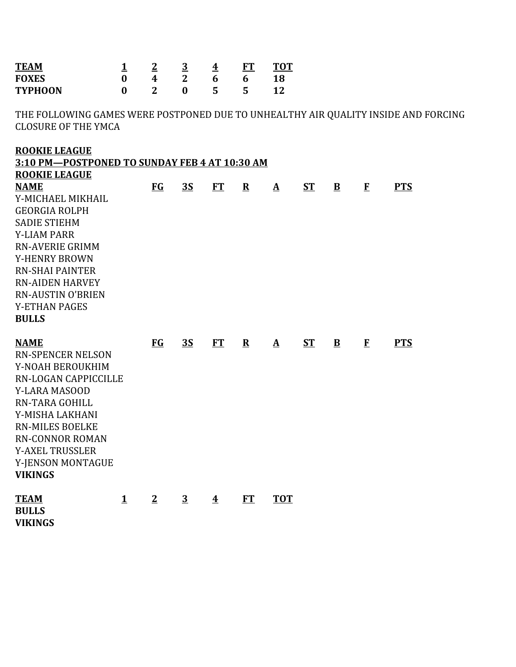| <b>TEAM</b><br><b>FOXES</b><br><b>TYPHOON</b>                                                                                                                                                                                                                                                           | <u>1</u><br>$\bf{0}$<br>$\bf{0}$ | $\overline{2}$<br>4<br>$\overline{2}$ | $\overline{3}$<br>$\overline{2}$<br>$\boldsymbol{0}$ | $\overline{\textbf{4}}$<br>6<br>5 | <b>FT</b><br>6<br>5 | <b>TOT</b><br>18<br>12 |           |              |             |            |  |
|---------------------------------------------------------------------------------------------------------------------------------------------------------------------------------------------------------------------------------------------------------------------------------------------------------|----------------------------------|---------------------------------------|------------------------------------------------------|-----------------------------------|---------------------|------------------------|-----------|--------------|-------------|------------|--|
| THE FOLLOWING GAMES WERE POSTPONED DUE TO UNHEALTHY AIR QUALITY INSIDE AND FORCING<br><b>CLOSURE OF THE YMCA</b>                                                                                                                                                                                        |                                  |                                       |                                                      |                                   |                     |                        |           |              |             |            |  |
| <b>ROOKIE LEAGUE</b><br>3:10 PM-POSTPONED TO SUNDAY FEB 4 AT 10:30 AM                                                                                                                                                                                                                                   |                                  |                                       |                                                      |                                   |                     |                        |           |              |             |            |  |
| <b>ROOKIE LEAGUE</b><br><b>NAME</b><br>Y-MICHAEL MIKHAIL<br><b>GEORGIA ROLPH</b><br><b>SADIE STIEHM</b><br><b>Y-LIAM PARR</b><br><b>RN-AVERIE GRIMM</b><br><b>Y-HENRY BROWN</b><br><b>RN-SHAI PAINTER</b><br><b>RN-AIDEN HARVEY</b><br><b>RN-AUSTIN O'BRIEN</b><br><b>Y-ETHAN PAGES</b><br><b>BULLS</b> |                                  | $FG$                                  | 3S                                                   | ET                                | ${\bf R}$           | $\mathbf{\Delta}$      | <b>ST</b> | $\mathbf{B}$ | $\mathbf F$ | <b>PTS</b> |  |
| <b>NAME</b><br><b>RN-SPENCER NELSON</b><br>Y-NOAH BEROUKHIM<br>RN-LOGAN CAPPICCILLE<br><b>Y-LARA MASOOD</b><br>RN-TARA GOHILL<br>Y-MISHA LAKHANI<br><b>RN-MILES BOELKE</b><br><b>RN-CONNOR ROMAN</b><br><b>Y-AXEL TRUSSLER</b><br>Y-JENSON MONTAGUE<br><b>VIKINGS</b>                                   |                                  | <b>FG</b>                             | <b>3S</b>                                            | FT                                | ${\bf R}$           | $\mathbf{\Delta}$      | <b>ST</b> | $\mathbf{B}$ | $\bf{F}$    | <b>PTS</b> |  |
| <b>TEAM</b><br><b>BULLS</b><br><b>VIKINGS</b>                                                                                                                                                                                                                                                           | $\mathbf{1}$                     | $\overline{2}$                        | $\overline{3}$                                       | $\overline{\textbf{4}}$           | FT                  | <b>TOT</b>             |           |              |             |            |  |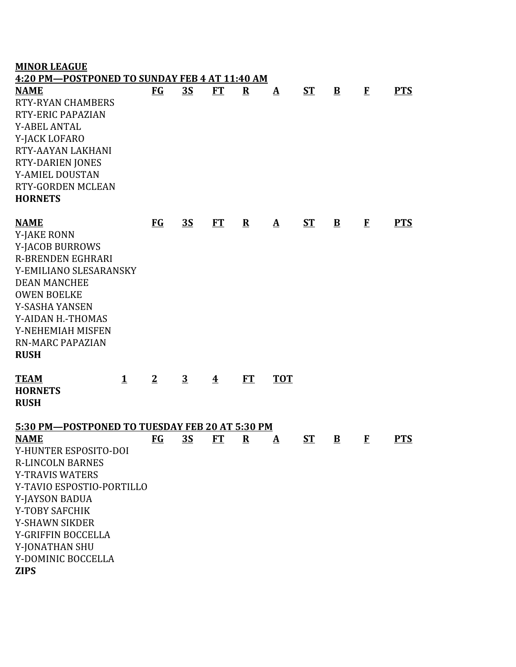| <b>MINOR LEAGUE</b><br>4:20 PM-POSTPONED TO SUNDAY FEB 4 AT 11:40 AM                                                                                                                                                                                          |              |                |                |                         |              |                   |             |                         |          |            |
|---------------------------------------------------------------------------------------------------------------------------------------------------------------------------------------------------------------------------------------------------------------|--------------|----------------|----------------|-------------------------|--------------|-------------------|-------------|-------------------------|----------|------------|
| <b>NAME</b><br><b>RTY-RYAN CHAMBERS</b><br><b>RTY-ERIC PAPAZIAN</b><br><b>Y-ABEL ANTAL</b><br>Y-JACK LOFARO<br><b>RTY-AAYAN LAKHANI</b><br><b>RTY-DARIEN JONES</b><br>Y-AMIEL DOUSTAN<br><b>RTY-GORDEN MCLEAN</b><br><b>HORNETS</b>                           |              | <b>FG</b>      | 3S             | ET                      | $\mathbf{R}$ | $\mathbf{\Delta}$ | <b>ST</b>   | $\mathbf{B}$            | $\bf{F}$ | <b>PTS</b> |
| <b>NAME</b><br><b>Y-JAKE RONN</b><br>Y-JACOB BURROWS<br><b>R-BRENDEN EGHRARI</b><br>Y-EMILIANO SLESARANSKY<br><b>DEAN MANCHEE</b><br><b>OWEN BOELKE</b><br>Y-SASHA YANSEN<br>Y-AIDAN H.-THOMAS<br>Y-NEHEMIAH MISFEN<br><b>RN-MARC PAPAZIAN</b><br><b>RUSH</b> |              | <b>FG</b>      | <u>3S</u>      | ET                      | $\mathbf{R}$ | $\mathbf{\Delta}$ | <b>ST</b>   | $\mathbf{B}$            | $\bf{F}$ | <b>PTS</b> |
| <b>TEAM</b><br><b>HORNETS</b><br><b>RUSH</b><br>5:30 PM-POSTPONED TO TUESDAY FEB 20 AT 5:30 PM                                                                                                                                                                | $\mathbf{1}$ | $\overline{2}$ | $\overline{3}$ | $\overline{\textbf{4}}$ | <b>FT</b>    | <b>TOT</b>        |             |                         |          |            |
| <b>NAME</b>                                                                                                                                                                                                                                                   |              | $FG$           | <u>35</u>      | FT                      | $\mathbf R$  | <u>A</u>          | $S_{\rm T}$ | $\overline{\mathbf{B}}$ | $\bf{F}$ | <b>PTS</b> |
| Y-HUNTER ESPOSITO-DOI<br><b>R-LINCOLN BARNES</b><br><b>Y-TRAVIS WATERS</b><br>Y-TAVIO ESPOSTIO-PORTILLO<br>Y-JAYSON BADUA<br>Y-TOBY SAFCHIK<br><b>Y-SHAWN SIKDER</b><br>Y-GRIFFIN BOCCELLA<br>Y-JONATHAN SHU<br>Y-DOMINIC BOCCELLA                            |              |                |                |                         |              |                   |             |                         |          |            |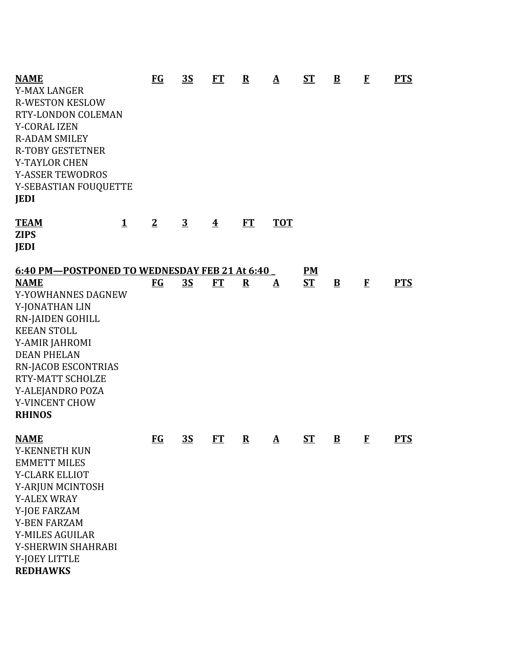| <b>NAME</b>                                   |              | $FG$                               | <u>35</u>      | FT                      | ${\bf R}$ | $\mathbf{\underline{A}}$ | $S_{\rm T}$ | $\overline{\mathbf{B}}$ | $\bf{F}$ | <b>PTS</b> |
|-----------------------------------------------|--------------|------------------------------------|----------------|-------------------------|-----------|--------------------------|-------------|-------------------------|----------|------------|
| <b>Y-MAX LANGER</b>                           |              |                                    |                |                         |           |                          |             |                         |          |            |
| <b>R-WESTON KESLOW</b>                        |              |                                    |                |                         |           |                          |             |                         |          |            |
| RTY-LONDON COLEMAN                            |              |                                    |                |                         |           |                          |             |                         |          |            |
| <b>Y-CORAL IZEN</b>                           |              |                                    |                |                         |           |                          |             |                         |          |            |
| <b>R-ADAM SMILEY</b>                          |              |                                    |                |                         |           |                          |             |                         |          |            |
| <b>R-TOBY GESTETNER</b>                       |              |                                    |                |                         |           |                          |             |                         |          |            |
| <b>Y-TAYLOR CHEN</b>                          |              |                                    |                |                         |           |                          |             |                         |          |            |
| <b>Y-ASSER TEWODROS</b>                       |              |                                    |                |                         |           |                          |             |                         |          |            |
| Y-SEBASTIAN FOUQUETTE                         |              |                                    |                |                         |           |                          |             |                         |          |            |
| <b>JEDI</b>                                   |              |                                    |                |                         |           |                          |             |                         |          |            |
| <b>TEAM</b>                                   | $\mathbf{1}$ | $\overline{2}$                     | $\overline{3}$ | $\overline{\textbf{4}}$ | FT        | <b>TOT</b>               |             |                         |          |            |
| <b>ZIPS</b>                                   |              |                                    |                |                         |           |                          |             |                         |          |            |
| <b>JEDI</b>                                   |              |                                    |                |                         |           |                          |             |                         |          |            |
| 6:40 PM-POSTPONED TO WEDNESDAY FEB 21 At 6:40 |              |                                    |                |                         |           |                          | PM          |                         |          |            |
| <b>NAME</b>                                   |              | <b>FG</b>                          | <b>3S</b>      | <b>FT</b>               | ${\bf R}$ | $\mathbf{\underline{A}}$ | <b>ST</b>   | $\mathbf{B}$            | $\bf{F}$ | <b>PTS</b> |
| Y-YOWHANNES DAGNEW                            |              |                                    |                |                         |           |                          |             |                         |          |            |
| Y-JONATHAN LIN                                |              |                                    |                |                         |           |                          |             |                         |          |            |
| <b>RN-JAIDEN GOHILL</b>                       |              |                                    |                |                         |           |                          |             |                         |          |            |
| <b>KEEAN STOLL</b>                            |              |                                    |                |                         |           |                          |             |                         |          |            |
| Y-AMIR JAHROMI                                |              |                                    |                |                         |           |                          |             |                         |          |            |
| <b>DEAN PHELAN</b>                            |              |                                    |                |                         |           |                          |             |                         |          |            |
| <b>RN-JACOB ESCONTRIAS</b>                    |              |                                    |                |                         |           |                          |             |                         |          |            |
| RTY-MATT SCHOLZE                              |              |                                    |                |                         |           |                          |             |                         |          |            |
| Y-ALEJANDRO POZA                              |              |                                    |                |                         |           |                          |             |                         |          |            |
| Y-VINCENT CHOW                                |              |                                    |                |                         |           |                          |             |                         |          |            |
| <b>RHINOS</b>                                 |              |                                    |                |                         |           |                          |             |                         |          |            |
| <b>NAME</b>                                   |              | $\underline{\mathbf{F}\mathbf{G}}$ | <u>35</u>      | ET                      | ${\bf R}$ | $\mathbf{\Delta}$        | <u>ST</u>   | $\overline{\mathbf{B}}$ | $\bf{F}$ | <b>PTS</b> |
| Y-KENNETH KUN                                 |              |                                    |                |                         |           |                          |             |                         |          |            |
| <b>EMMETT MILES</b>                           |              |                                    |                |                         |           |                          |             |                         |          |            |
| Y-CLARK ELLIOT                                |              |                                    |                |                         |           |                          |             |                         |          |            |
| Y-ARJUN MCINTOSH                              |              |                                    |                |                         |           |                          |             |                         |          |            |
| <b>Y-ALEX WRAY</b>                            |              |                                    |                |                         |           |                          |             |                         |          |            |
| Y-JOE FARZAM                                  |              |                                    |                |                         |           |                          |             |                         |          |            |
| <b>Y-BEN FARZAM</b>                           |              |                                    |                |                         |           |                          |             |                         |          |            |
| <b>Y-MILES AGUILAR</b>                        |              |                                    |                |                         |           |                          |             |                         |          |            |
| Y-SHERWIN SHAHRABI                            |              |                                    |                |                         |           |                          |             |                         |          |            |
| Y-JOEY LITTLE                                 |              |                                    |                |                         |           |                          |             |                         |          |            |
| <b>REDHAWKS</b>                               |              |                                    |                |                         |           |                          |             |                         |          |            |